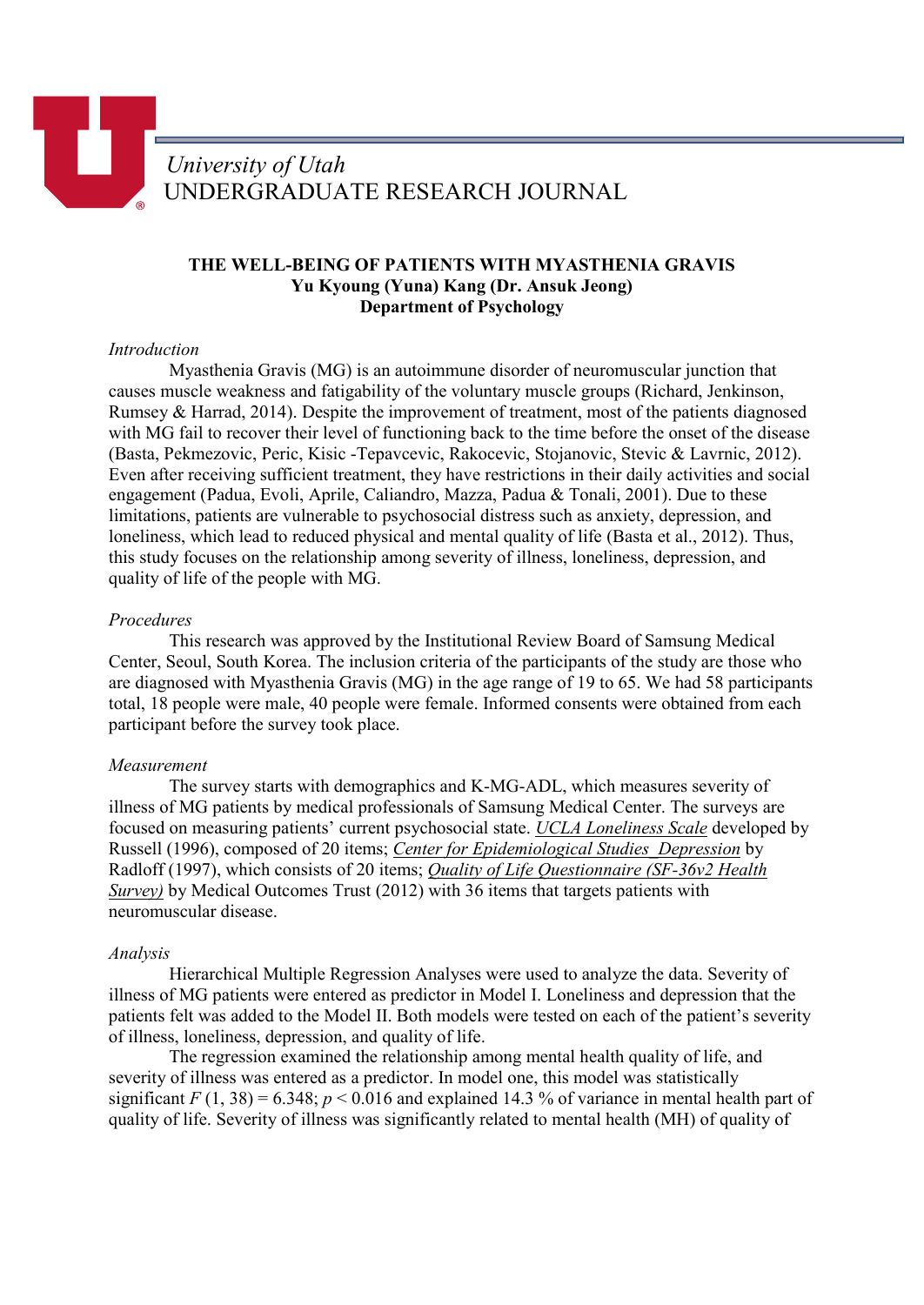# *University of Utah* UNDERGRADUATE RESEARCH JOURNAL

## **THE WELL-BEING OF PATIENTS WITH MYASTHENIA GRAVIS Yu Kyoung (Yuna) Kang (Dr. Ansuk Jeong) Department of Psychology**

### *Introduction*

Myasthenia Gravis (MG) is an autoimmune disorder of neuromuscular junction that causes muscle weakness and fatigability of the voluntary muscle groups (Richard, Jenkinson, Rumsey & Harrad, 2014). Despite the improvement of treatment, most of the patients diagnosed with MG fail to recover their level of functioning back to the time before the onset of the disease (Basta, Pekmezovic, Peric, Kisic -Tepavcevic, Rakocevic, Stojanovic, Stevic & Lavrnic, 2012). Even after receiving sufficient treatment, they have restrictions in their daily activities and social engagement (Padua, Evoli, Aprile, Caliandro, Mazza, Padua & Tonali, 2001). Due to these limitations, patients are vulnerable to psychosocial distress such as anxiety, depression, and loneliness, which lead to reduced physical and mental quality of life (Basta et al., 2012). Thus, this study focuses on the relationship among severity of illness, loneliness, depression, and quality of life of the people with MG.

#### *Procedures*

This research was approved by the Institutional Review Board of Samsung Medical Center, Seoul, South Korea. The inclusion criteria of the participants of the study are those who are diagnosed with Myasthenia Gravis (MG) in the age range of 19 to 65. We had 58 participants total, 18 people were male, 40 people were female. Informed consents were obtained from each participant before the survey took place.

#### *Measurement*

The survey starts with demographics and K-MG-ADL, which measures severity of illness of MG patients by medical professionals of Samsung Medical Center. The surveys are focused on measuring patients' current psychosocial state. *UCLA Loneliness Scale* developed by Russell (1996), composed of 20 items; *Center for Epidemiological Studies\_Depression* by Radloff (1997), which consists of 20 items; *Quality of Life Questionnaire (SF-36v2 Health Survey)* by Medical Outcomes Trust (2012) with 36 items that targets patients with neuromuscular disease.

#### *Analysis*

Hierarchical Multiple Regression Analyses were used to analyze the data. Severity of illness of MG patients were entered as predictor in Model I. Loneliness and depression that the patients felt was added to the Model II. Both models were tested on each of the patient's severity of illness, loneliness, depression, and quality of life.

The regression examined the relationship among mental health quality of life, and severity of illness was entered as a predictor. In model one, this model was statistically significant  $F(1, 38) = 6.348$ ;  $p < 0.016$  and explained 14.3 % of variance in mental health part of quality of life. Severity of illness was significantly related to mental health (MH) of quality of